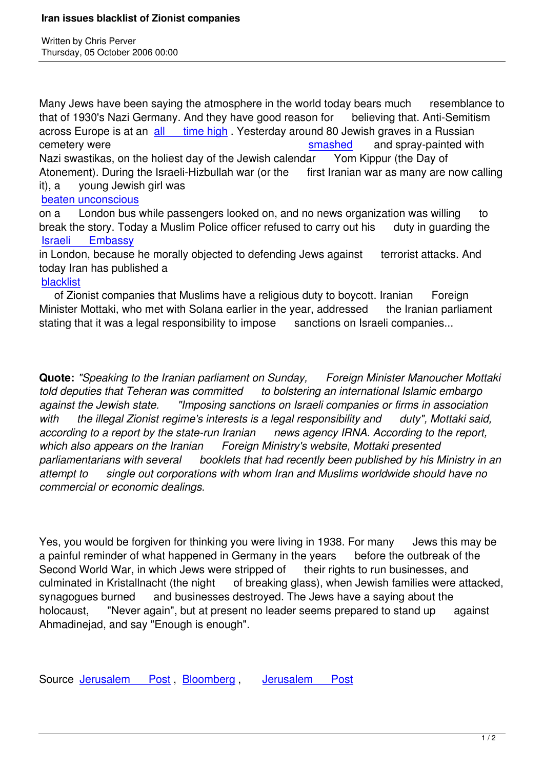Written by Christian by Christian by Christian by Christian by Christian by Christian by Chris Perus

Many Jews have been saying the atmosphere in the world today bears much resemblance to that of 1930's Nazi Germany. And they have good reason for believing that. Anti-Semitism across Europe is at an all time high. Yesterday around 80 Jewish graves in a Russian cemetery were smashed and spray-painted with Nazi swastikas, on the holiest day of the Jewish calendar Yom Kippur (the Day of Atonement). During the [Israeli-Hizbullah](https://www.prophecynews.co.uk./sep06.html#9-7-1) war (or the first Iranian war as many are now calling it), a young Jewish girl was

beaten unconscious

on a London bus while passengers looked on, and no news organization was willing to break the story. Today a Muslim Police officer refused to carry out his duty in quarding the [Israeli Embassy](https://www.prophecynews.co.uk./sep06.html#9-4-1)

in London, because he morally objected to defending Jews against terrorist attacks. And today Iran has published a

[blacklist](http://www.bloomberg.com/apps/news?pid=20601102&sid=aCIAktsqp25I&refer=uk)

 of Zionist companies that Muslims have a religious duty to boycott. Iranian Foreign Minister Mottaki, who met with Solana earlier in the year, addressed the Iranian parliament [stating th](http://www.jpost.com/servlet/Satellite?cid=1159193378164&pagename=JPost%2FJPArticle%2FShowFull)at it was a legal responsibility to impose sanctions on Israeli companies...

**Quote:** *"Speaking to the Iranian parliament on Sunday, Foreign Minister Manoucher Mottaki told deputies that Teheran was committed to bolstering an international Islamic embargo against the Jewish state. "Imposing sanctions on Israeli companies or firms in association with the illegal Zionist regime's interests is a legal responsibility and duty", Mottaki said, according to a report by the state-run Iranian news agency IRNA. According to the report, which also appears on the Iranian Foreign Ministry's website, Mottaki presented parliamentarians with several booklets that had recently been published by his Ministry in an attempt to single out corporations with whom Iran and Muslims worldwide should have no commercial or economic dealings.*

Yes, you would be forgiven for thinking you were living in 1938. For many Jews this may be a painful reminder of what happened in Germany in the years before the outbreak of the Second World War, in which Jews were stripped of their rights to run businesses, and culminated in Kristallnacht (the night of breaking glass), when Jewish families were attacked, synagogues burned and businesses destroyed. The Jews have a saying about the holocaust, Thever again", but at present no leader seems prepared to stand up against Ahmadinejad, and say "Enough is enough".

Source Jerusalem Post Bloomberg , Jerusalem Post